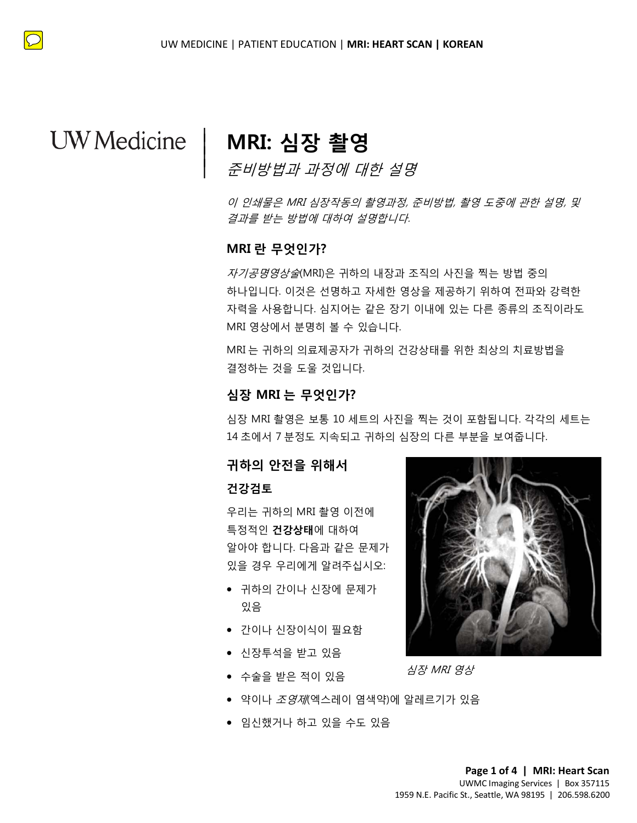$\overline{\phantom{a}}$  $\vert$  $\vert$  $\vert$ 

# **MRI: 심장 촬영**

준비방법과 과정에 대한 설명

이 인쇄물은 MRI 심장작동의 촬영과정, 준비방법, 촬영 도중에 관한 설명, 및 결과를 받는 방법에 대하여 설명합니다.

### **MRI 란 무엇인가?**

하나입니다. 이것은 선명하고 자세한 영상을 제공하기 위하여 전파와 강력한<br>자력을 사용합니다. 심지어는 같은 장기 이내에 있는 다른 종류의 조직이라도<br>MRI 영상에서 분명히 볼 수 있습니다.<br>MRI 는 귀하의 의료제공자가 귀하의 건강상태를 위한 최상의 치료방법을<br>결정하는 것을 도울 것입니다.<br>**심장 MRI 는 무엇인가?**<br><br>심장 **MRI 는 무엇인가?** ー / = = = = = <sub># \* \*</sub> / / = = = *+ ;*<br>MRI 란 무엇인가?<br>*자기공명영상술*(MRI)은 귀하의 내장과 조직의 사진을 찍는 방법 중의 하나입니다. 이것은 선명하고 자세한 영상을 제공하기 위하여 전파와 강력한 자력을 사용합니다. 심지어는 같은 장기 이내에 있는 다른 종류의 조직이라도 MRI 영상에서 분명히 볼 수 있습니다.

MRI 는 귀하의 의료제공자가 귀하의 건강상태를 위한 최상의 치료방법을<br>결정하는 것을 도울 것입니다.<br>**심장 MRI 는 무엇인가?**<br>심장 MRI **는 무엇인가?**<br>심장 MRI 촬영은 보통 10 세트의 사진을 찍는 것이 포함됩니다. 각각의 MRI 는 귀하의 의료제공자가 귀하의 건강상태를 위한 최상의 치료방법을 결정하는 것을 도울 것입니다.

### **심장 MRI 는 무엇인가?**

심장 MRI 촬영은 보통 10 세트의 사진을 찍는 것이 포함됩니다. 각각의 세트는 14 초에서 7 분정도 지속되고 귀하의 심장의 다른 부분을 보여줍니다.

### **귀하의 안전을 위해서**

#### **건강검토**

우리는 귀하의 MRI 촬영 이전에 특정적인 **건강상태**에 대하여 알아야 합니다. 다음과 같은 문제가 있을 경우 우리에게 알려주십시오:

- 귀하의 간이나 신장에 문제가 있음
- 간이나 신장이식이 필요함
- 신장투석을 받고 있음
- 수술을 받은 적이 있음
- 약이나 *조영제*(엑스레이 염색약)에 알레르기가 있음
- 임신했거나 하고 있을 수도 있음



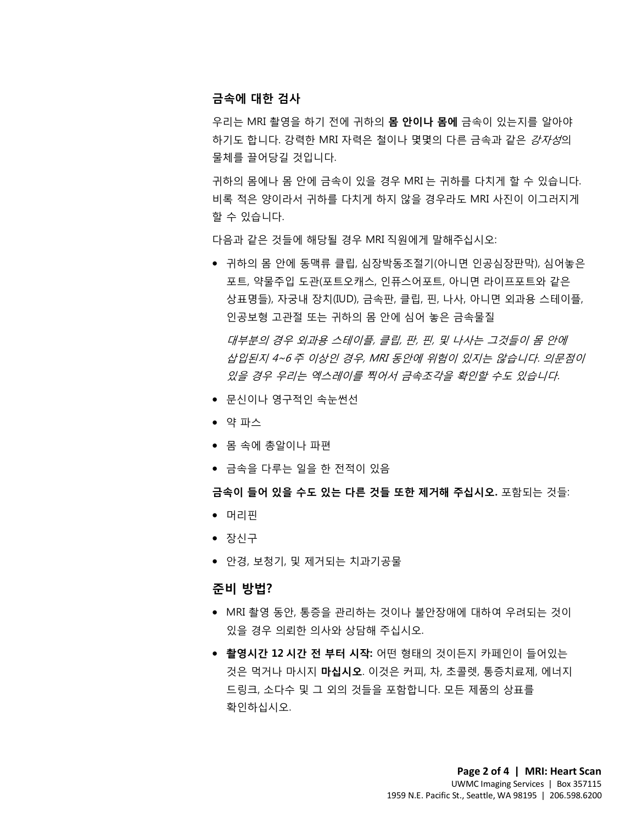### **금속에 대한 검사**

우리는 MRI 촬영을 하기 전에 귀하의 **몸 안이나 몸에** 금속이 있는지를 알아야 하기도 합니다. 강력한 MRI 자력은 철이나 몇몇의 다른 금속과 같은 강자성의 물체를 끌어당길 것입니다.

귀하의 몸에나 몸 안에 금속이 있을 경우 MRI 는 귀하를 다치게 할 수 있습니다. 비록 적은 양이라서 귀하를 다치게 하지 않을 경우라도 MRI 사진이 이그러지게 할 수 있습니다.

다음과 같은 것들에 해당될 경우 MRI 직원에게 말해주십시오:

다음과 같은 것들에 해당될 경우 MRI 직원에게 말해주십시오:<br>• 귀하의 몸 안에 동맥류 클립, 심장박동조절기(아니면 인공심장판막), 심어놓은<br>포트, 약물주입 도관(포트오캐스, 인퓨스어포트, 아니면 라이프포트와 같은<br>사포면트\ 지금내 자치(!!P\ 글수필, 클립, 필, 나 및 이니면 이것을 시대인플 • 귀하의 몸 안에 동맥류 클립, 심장박동조절기(아니면 인공심장판막), 심어놓은 포트, 약물주입 도관(포트오캐스, 인퓨스어포트, 아니면 라이프포트와 같은 상표명들), 자궁내 장치(IUD), 금속판, 클립, 핀, 나사, 아니면 외과용 스테이플, 인공보형 고관절 또는 귀하의 몸 안에 심어 놓은 금속물질

인공보형 고관설 또는 귀하의 몸 안에 심어 놓은 금속물실<br>*대부분의 경우 외과용 스테이플, 클립, 판, 핀, 및 나사는 그것들이 몸 안에<br>삽입된지 4~6 주 이상인 경우, MRI 동안에 위험이 있지는 않습니다. 의문?<br><i>있을 경우 우리는 엑스레이를 찍어서 금속조각을 확인할 수도 있습니다.*<br>• 문신이나 영구적인 속눈썬선<br>• 약 파스 DRAFT 대부분의 경우 외과용 스테이플, 클립, 판, 핀, 및 나사는 그것들이 몸 안에 삽입된지 4~6 주 이상인 경우, MRI 동안에 위험이 있지는 않습니다. 의문점이 있을 경우 우리는 엑스레이를 찍어서 금속조각을 확인할 수도 있습니다.

- 문신이나 영구적인 속눈썬선
- 약 파스
- 몸 속에 총알이나 파편
- 금속을 다루는 일을 한 전적이 있음

#### **금속이 들어 있을 수도 있는 다른 것들 또한 제거해 주십시오.** 포함되는 것들:

- 머리핀
- 장신구
- 안경, 보청기, 및 제거되는 치과기공물

 $\bot$  , and the contribution of the contribution of the contribution of the contribution of the contribution of the contribution of the contribution of the contribution of the contribution of the contribution of the contri

### **준비 방법?**

- MRI 촬영 동안, 통증을 관리하는 것이나 불안장애에 대하여 우려되는 것이 있을 경우 의뢰한 의사와 상담해 주십시오.
- **촬영시간 12 시간 전 부터 시작:** 어떤 형태의 것이든지 카페인이 들어있는 것은 먹거나 마시지 **마십시오**. 이것은 커피, 차, 초콜렛, 통증치료제, 에너지 드링크, 소다수 및 그 외의 것들을 포함합니다. 모든 제품의 상표를 확인하십시오.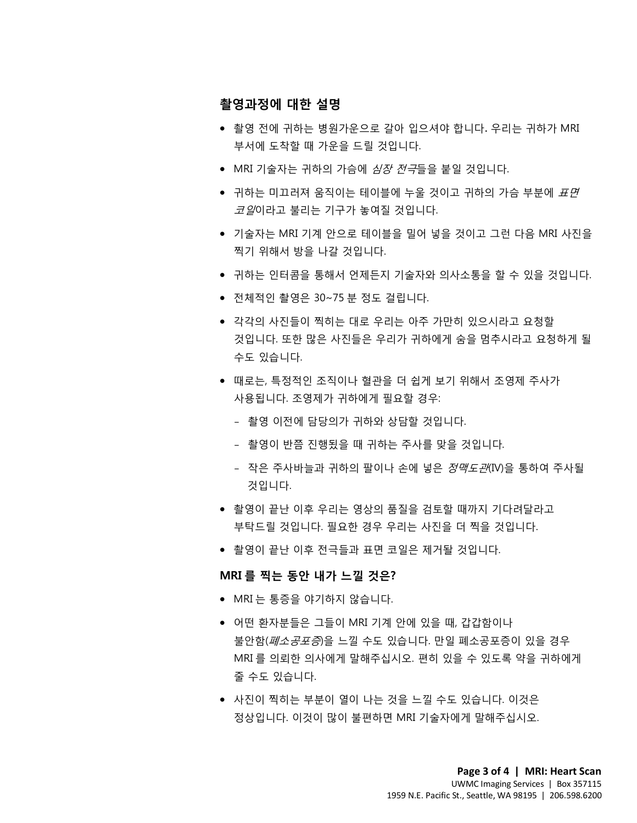### **촬영과정에 대한 설명**

- 촬영 전에 귀하는 병원가운으로 갈아 입으셔야 합니다. 우리는 귀하가 MRI 부서에 도착할 때 가운을 드릴 것입니다.
- MRI 기술자는 귀하의 가슴에 *심장 전극*들을 붙일 것입니다.
- 귀하는 미끄러져 움직이는 테이블에 누울 것이고 귀하의 가슴 부분에 *표면 코일*이라고 불리는 기구가 놓여질 것입니다.
- 기블시난 MM 시에 만드포 레이클를 들어 흥를 것이고 그만 다음 MM 시간을<br>찍기 위해서 방을 나갈 것입니다.<br>● 귀하는 인터콤을 통해서 언제든지 기술자와 의사소통을 할 수 있을 것입니다<br>▲ 전체적인 촬영은 30.75 부 전도 건립니다. • 기술자는 MRI 기계 안으로 테이블을 밀어 넣을 것이고 그런 다음 MRI 사진을 찍기 위해서 방을 나갈 것입니다.
	- 귀하는 인터콤을 통해서 언제든지 기술자와 의사소통을 할 수 있을 것입니다.
	- 전체적인 촬영은 30~75 분 정도 걸립니다.
	- 각각의 사진들이 찍히는 대로 우리는 아주 가만히 있으시라고 요청할<br>것입니다. 또한 많은 사진들은 우리가 귀하에게 숨을 멈추시라고 요청하<br>수도 있습니다.<br>● 때로는, 특정적인 조직이나 혈관을 더 쉽게 보기 위해서 조영제 주사가<br>사용됩니다. 조영제가 귀하에게 필요할 경우:<br>- 촬영 이전에 담당의가 귀하에게 필요할 경우:<br>- 촬영 이전에 담당의가 귀하와 상담할 것입니다. • 각각의 사진들이 찍히는 대로 우리는 아주 가만히 있으시라고 요청할 것입니다. 또한 많은 사진들은 우리가 귀하에게 숨을 멈추시라고 요청하게 될 수도 있습니다.
	- ^~~~ 있습니다.<br>• 때로는, 특정적인 조직이나 혈관을 더 쉽게 보기 위해서 조영제 주사가<br>사용됩니다. 조영제가 귀하에게 필요할 경우:<br>- 촬영 이전에 담당의가 귀하와 상담할 것입니다.<br>- 촬영이 반쯤 진행됬을 때 귀하는 주사를 맞을 것입니다.<br>- 찰영이 반쯤 진행됬을 때 귀하는 주사를 맞을 것입니다.<br>- 작은 주사바늘과 귀하의 팔이나 손에 넣은 *정맥도관*IW을 통하여 주사 • 때로는, 특정적인 조직이나 혈관을 더 쉽게 보기 위해서 조영제 주사가 사용됩니다. 조영제가 귀하에게 필요할 경우:
		- 촬영 이전에 담당의가 귀하와 상담할 것입니다.
		- 촬영이 반쯤 진행됬을 때 귀하는 주사를 맞을 것입니다.
		- 작은 주사바늘과 귀하의 팔이나 손에 넣은 정맥도관(IV)을 통하여 주사될 것입니다.
		- 촬영이 끝난 이후 우리는 영상의 품질을 검토할 때까지 기다려달라고 부탁드릴 것입니다. 필요한 경우 우리는 사진을 더 찍을 것입니다.
		- 촬영이 끝난 이후 전극들과 표면 코일은 제거돨 것입니다.

### **MRI 를 찍는 동안 내가 느낄 것은?**

• MRI 는 통증을 야기하지 않습니다.

 $\bot$  , and the contribution of the contribution of the contribution of the contribution of the contribution of the contribution of the contribution of the contribution of the contribution of the contribution of the contri

- 어떤 환자분들은 그들이 MRI 기계 안에 있을 때, 갑갑함이나 불안함(폐소공포증)을 느낄 수도 있습니다. 만일 폐소공포증이 있을 경우 MRI 를 의뢰한 의사에게 말해주십시오. 편히 있을 수 있도록 약을 귀하에게 줄 수도 있습니다.
- 사진이 찍히는 부분이 열이 나는 것을 느낄 수도 있습니다. 이것은 정상입니다. 이것이 많이 불편하면 MRI 기술자에게 말해주십시오.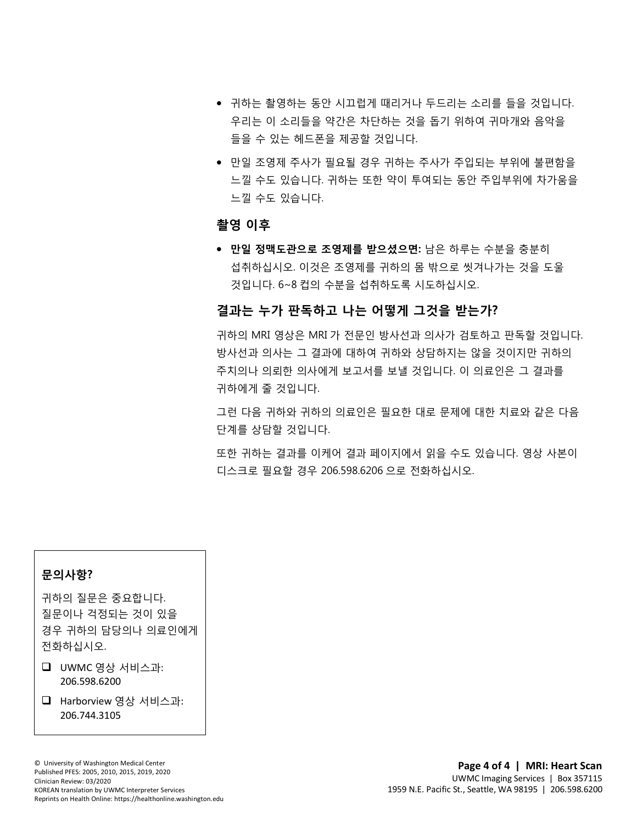- 귀하는 촬영하는 동안 시끄럽게 때리거나 두드리는 소리를 들을 것입니다. 우리는 이 소리들을 약간은 차단하는 것을 돕기 위하여 귀마개와 음악을 들을 수 있는 헤드폰을 제공할 것입니다.
- 만일 조영제 주사가 필요될 경우 귀하는 주사가 주입되는 부위에 불편함을 느낄 수도 있습니다. 귀하는 또한 약이 투여되는 동안 주입부위에 차가움을 느낄 수도 있습니다.

### **촬영 이후**

● 만일 정맥도관으로 조영제를 받으셨으면: 남은 하루는 수분을 충분히<br>섭취하십시오. 이것은 조영제를 귀하의 몸 밖으로 씻겨나가는 것을 도울<br>것입니다. 6~8 컵의 수분을 섭취하도록 시도하십시오. 섭취하십시오. 이것은 조영제를 귀하의 몸 밖으로 씻겨나가는 것을 도울 것입니다. 6~8 컵의 수분을 섭취하도록 시도하십시오.

### **결과는 누가 판독하고 나는 어떻게 그것을 받는가?**

 $\_$  ,  $\_$  ,  $\_$  ,  $\_$  ,  $\_$  ,  $\_$  ,  $\_$  ,  $\_$  ,  $\_$  ,  $\_$  ,  $\_$  ,  $\_$  ,  $\_$  ,  $\_$  ,  $\_$  ,  $\_$  ,  $\_$  ,  $\_$  ,  $\_$  ,  $\_$  ,  $\_$  ,  $\_$  ,  $\_$  ,  $\_$  ,  $\_$  ,  $\_$  ,  $\_$  ,  $\_$  ,  $\_$  ,  $\_$  ,  $\_$  ,  $\_$  ,  $\_$  ,  $\_$  ,  $\_$  ,  $\_$  ,  $\_$  ,

느니 난 1 ~ 1 ㄴ ㄱ - 1 ㄴ ㄱ - 1 ㅇ - 1 ㅡ ㅅ ㅌ ㄴ ㄴ ㅜ <br>귀하의 MRI 영상은 MRI 가 전문인 방사선과 의사가 검토하고 판독할 것입니<br>방사선과 의사는 그 결과에 대하여 귀하와 상담하지는 않을 것이지만 귀하의<br>주치의나 의뢰한 의사에게 보고서를 보낼 것입니다. 이 의료인은 그 결과를<br>귀하에게 줄 것입니다.<br>그런 다음 귀하와 귀하의 의료인은 필요한 대로 문제에 대한 치료와 방사선과 의사는 그 결과에 대하여 귀하와 상담하지는 않을 것이지만 귀하의<br>주치의나 의뢰한 의사에게 보고서를 보낼 것입니다. 이 의료인은 그 결과를<br>귀하에게 줄 것입니다.<br>그런 다음 귀하와 귀하의 의료인은 필요한 대로 문제에 대한 치료와 같은 다음<br>단계를 상담할 것입니다.<br>또한 귀하는 결과를 이케어 결과 페이지에서 읽을 수도 있습니다. 영상 사본이 귀하의 MRI 영상은 MRI 가 전문인 방사선과 의사가 검토하고 판독할 것입니다. 방사선과 의사는 그 결과에 대하여 귀하와 상담하지는 않을 것이지만 귀하의 주치의나 의뢰한 의사에게 보고서를 보낼 것입니다. 이 의료인은 그 결과를 귀하에게 줄 것입니다.

그런 다음 귀하와 귀하의 의료인은 필요한 대로 문제에 대한 치료와 같은 다음 단계를 상담할 것입니다.

또한 귀하는 결과를 이케어 결과 페이지에서 읽을 수도 있습니다. 영상 사본이 디스크로 필요할 경우 206.598.6206 으로 전화하십시오.

### **문의사항?**

귀하의 질문은 중요합니다. 질문이나 걱정되는 것이 있을 경우 귀하의 담당의나 의료인에게 전화하십시오.

- $\Box$  UWMC 영상 서비스과: 206.598.6200
- Harborview 영상 서비스과: 206.744.3105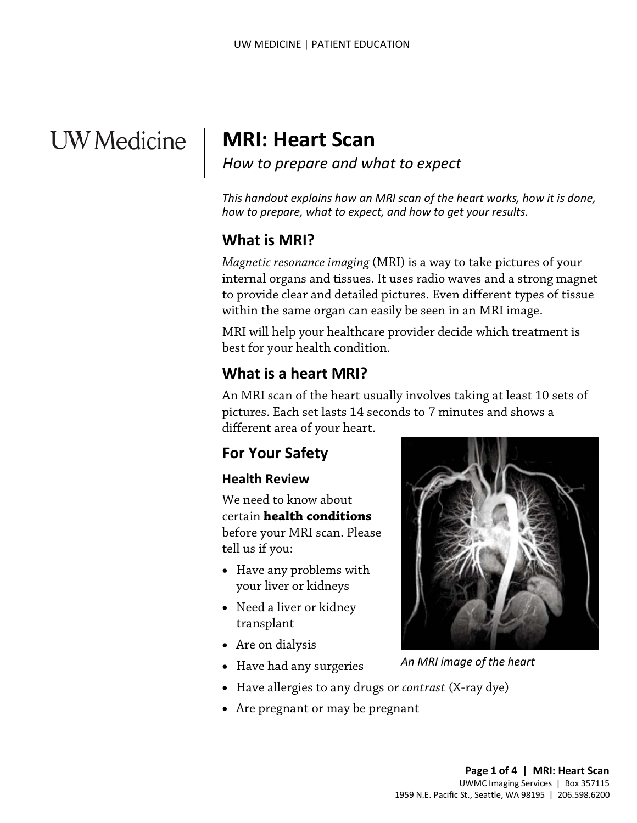# **UW** Medicine

# **MRI: Heart Scan**

*How to prepare and what to expect*

*This handout explains how an MRI scan of the heart works, how it is done, how to prepare, what to expect, and how to get your results.*

# **What is MRI?**

 $\overline{\phantom{a}}$  $\vert$  $\vert$  $\vert$ 

> *Magnetic resonance imaging* (MRI) is a way to take pictures of your internal organs and tissues. It uses radio waves and a strong magnet to provide clear and detailed pictures. Even different types of tissue within the same organ can easily be seen in an MRI image.

MRI will help your healthcare provider decide which treatment is best for your health condition.

# **What is a heart MRI?**

to provide clear and detailed pictures. Even different types of tissue<br>to provide clear and detailed pictures. Even different types of tissue<br>within the same organ can easily be seen in an MRI image.<br>MRI will help your hea An MRI scan of the heart usually involves taking at least 10 sets of pictures. Each set lasts 14 seconds to 7 minutes and shows a different area of your heart.

# **For Your Safety**

## **Health Review**

We need to know about certain **health conditions** before your MRI scan. Please tell us if you:

- Have any problems with your liver or kidneys
- Need a liver or kidney transplant
- Are on dialysis
- Have had any surgeries



*An MRI image of the heart*

- Have allergies to any drugs or *contrast* (X-ray dye)
- Are pregnant or may be pregnant

 $\_$  ,  $\_$  ,  $\_$  ,  $\_$  ,  $\_$  ,  $\_$  ,  $\_$  ,  $\_$  ,  $\_$  ,  $\_$  ,  $\_$  ,  $\_$  ,  $\_$  ,  $\_$  ,  $\_$  ,  $\_$  ,  $\_$  ,  $\_$  ,  $\_$  ,  $\_$  ,  $\_$  ,  $\_$  ,  $\_$  ,  $\_$  ,  $\_$  ,  $\_$  ,  $\_$  ,  $\_$  ,  $\_$  ,  $\_$  ,  $\_$  ,  $\_$  ,  $\_$  ,  $\_$  ,  $\_$  ,  $\_$  ,  $\_$  ,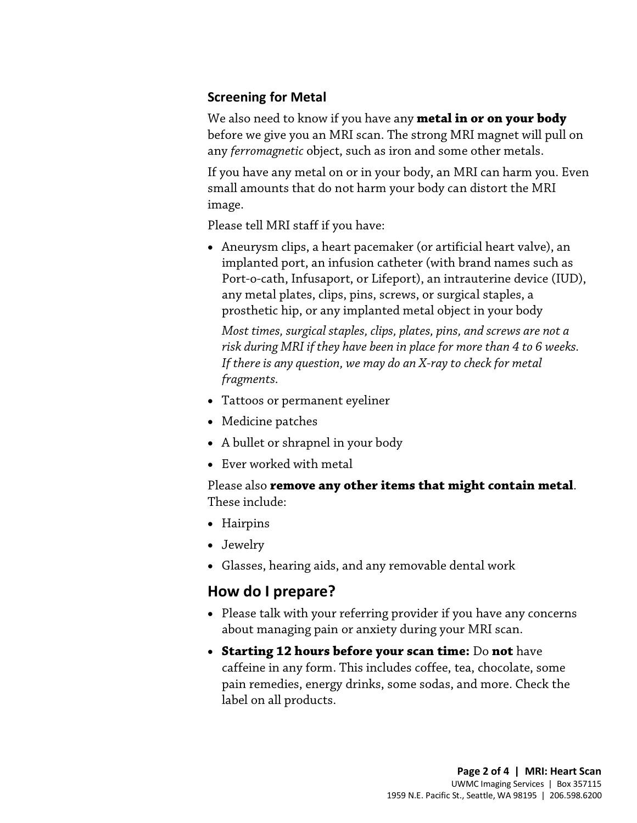## **Screening for Metal**

We also need to know if you have any **metal in or on your body** before we give you an MRI scan. The strong MRI magnet will pull on any *ferromagnetic* object, such as iron and some other metals.

If you have any metal on or in your body, an MRI can harm you. Even small amounts that do not harm your body can distort the MRI image.

Please tell MRI staff if you have:

• Aneurysm clips, a heart pacemaker (or artificial heart valve), an implanted port, an infusion catheter (with brand names such as Port-o-cath, Infusaport, or Lifeport), an intrauterine device (IUD), any metal plates, clips, pins, screws, or surgical staples, a prosthetic hip, or any implanted metal object in your body

Most times, surgical staples, clips, plates, pins, and screws are not a<br>risk during MRI if they have been in place for more than 4 to 6 week<br>If there is any question, we may do an X-ray to check for metal<br>fragments.<br>• Tatt *Most times, surgical staples, clips, plates, pins, and screws are not a risk during MRI if they have been in place for more than 4 to 6 weeks. If there is any question, we may do an X-ray to check for metal fragments.* 

- Tattoos or permanent eyeliner
- Medicine patches
- A bullet or shrapnel in your body
- Ever worked with metal

Please also **remove any other items that might contain metal**. These include:

- Hairpins
- Jewelry
- Glasses, hearing aids, and any removable dental work

 $\_$  ,  $\_$  ,  $\_$  ,  $\_$  ,  $\_$  ,  $\_$  ,  $\_$  ,  $\_$  ,  $\_$  ,  $\_$  ,  $\_$  ,  $\_$  ,  $\_$  ,  $\_$  ,  $\_$  ,  $\_$  ,  $\_$  ,  $\_$  ,  $\_$  ,  $\_$  ,  $\_$  ,  $\_$  ,  $\_$  ,  $\_$  ,  $\_$  ,  $\_$  ,  $\_$  ,  $\_$  ,  $\_$  ,  $\_$  ,  $\_$  ,  $\_$  ,  $\_$  ,  $\_$  ,  $\_$  ,  $\_$  ,  $\_$  ,

# **How do I prepare?**

- Please talk with your referring provider if you have any concerns about managing pain or anxiety during your MRI scan.
- **Starting 12 hours before your scan time:** Do **not** have caffeine in any form. This includes coffee, tea, chocolate, some pain remedies, energy drinks, some sodas, and more. Check the label on all products.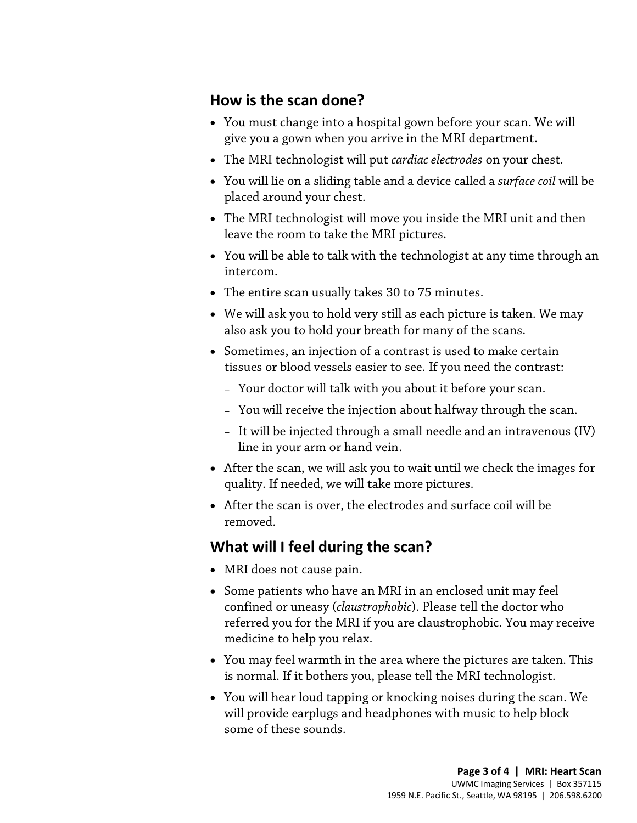# **How is the scan done?**

- You must change into a hospital gown before your scan. We will give you a gown when you arrive in the MRI department.
- The MRI technologist will put *cardiac electrodes* on your chest.
- You will lie on a sliding table and a device called a *surface coil* will be placed around your chest.
- The MRI technologist will move you inside the MRI unit and then leave the room to take the MRI pictures.
- You will be able to talk with the [technologist](javascript:glossAry() at any time through an intercom.
- The entire scan usually takes 30 to 75 minutes.
- We will ask you to hold very still as each picture is taken. We may also ask you to hold your breath for many of the scans.
- We will ask you to hold very still as each picture is taken. We filally also ask you to hold your breath for many of the scans.<br>• Sometimes, an injection of a contrast is used to make certain tissues or blood vessels eas • Sometimes, an injection of a contrast is used to make certain tissues or blood vessels easier to see. If you need the contrast:
	- Your doctor will talk with you about it before your scan.
	- You will receive the injection about halfway through the scan.
	- It will be injected through a small needle and an intravenous (IV) line in your arm or hand vein.
	- After the scan, we will ask you to wait until we check the images for quality. If needed, we will take more pictures.
	- After the scan is over, the electrodes and surface coil will be removed.

# **What will I feel during the scan?**

 $\_$  ,  $\_$  ,  $\_$  ,  $\_$  ,  $\_$  ,  $\_$  ,  $\_$  ,  $\_$  ,  $\_$  ,  $\_$  ,  $\_$  ,  $\_$  ,  $\_$  ,  $\_$  ,  $\_$  ,  $\_$  ,  $\_$  ,  $\_$  ,  $\_$  ,  $\_$  ,  $\_$  ,  $\_$  ,  $\_$  ,  $\_$  ,  $\_$  ,  $\_$  ,  $\_$  ,  $\_$  ,  $\_$  ,  $\_$  ,  $\_$  ,  $\_$  ,  $\_$  ,  $\_$  ,  $\_$  ,  $\_$  ,  $\_$  ,

- MRI does not cause pain.
- Some patients who have an MRI in an enclosed unit may feel confined or uneasy (*claustrophobic*). Please tell the doctor who referred you for the MRI if you are claustrophobic. You may receive medicine to help you relax.
- You may feel warmth in the area where the pictures are taken. This is normal. If it bothers you, please tell the MRI [technologist.](javascript:glossAry()
- You will hear loud tapping or knocking noises during the scan. We will provide earplugs and headphones with music to help block some of these sounds.